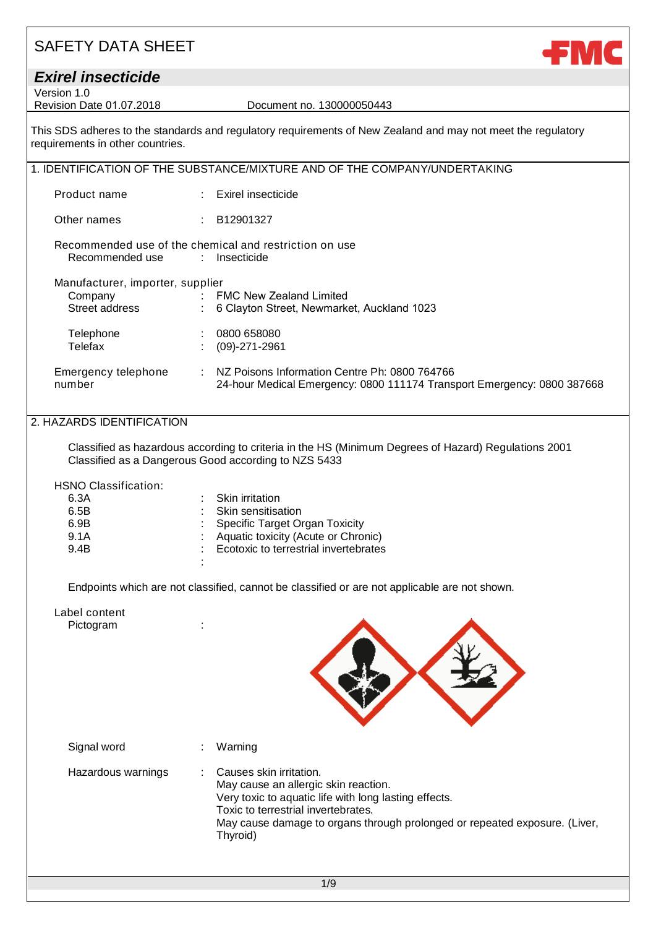# **FMC**

# *Exirel insecticide*

Version 1.0

Revision Date 01.07.2018 Document no. 130000050443

This SDS adheres to the standards and regulatory requirements of New Zealand and may not meet the regulatory requirements in other countries.

|                                                                                                   |  | 1. IDENTIFICATION OF THE SUBSTANCE/MIXTURE AND OF THE COMPANY/UNDERTAKING                                                  |  |  |  |  |
|---------------------------------------------------------------------------------------------------|--|----------------------------------------------------------------------------------------------------------------------------|--|--|--|--|
| Product name                                                                                      |  | : Exirel insecticide                                                                                                       |  |  |  |  |
| Other names                                                                                       |  | $\div$ B12901327                                                                                                           |  |  |  |  |
| Recommended use of the chemical and restriction on use<br>Recommended use<br>Insecticide<br>diam. |  |                                                                                                                            |  |  |  |  |
| Manufacturer, importer, supplier                                                                  |  |                                                                                                                            |  |  |  |  |
| : FMC New Zealand Limited<br>Company                                                              |  |                                                                                                                            |  |  |  |  |
| Street address                                                                                    |  | : 6 Clayton Street, Newmarket, Auckland 1023                                                                               |  |  |  |  |
| Telephone                                                                                         |  | : 0800658080                                                                                                               |  |  |  |  |
| Telefax                                                                                           |  | $(09)-271-2961$                                                                                                            |  |  |  |  |
| Emergency telephone<br>number                                                                     |  | : NZ Poisons Information Centre Ph: 0800 764766<br>24-hour Medical Emergency: 0800 111174 Transport Emergency: 0800 387668 |  |  |  |  |

#### 2. HAZARDS IDENTIFICATION

Classified as hazardous according to criteria in the HS (Minimum Degrees of Hazard) Regulations 2001 Classified as a Dangerous Good according to NZS 5433

HSNO Classification:

| 6.3A   | : Skin irritation                       |
|--------|-----------------------------------------|
| 6.5B   | : Skin sensitisation                    |
| 6.9B   | : Specific Target Organ Toxicity        |
| 9.1A   | : Aquatic toxicity (Acute or Chronic)   |
| 9.4B   | : Ecotoxic to terrestrial invertebrates |
| ٠<br>٠ |                                         |

Endpoints which are not classified, cannot be classified or are not applicable are not shown.

| Label content<br>Pictogram |                                                                                                                                                                                                                                                           |
|----------------------------|-----------------------------------------------------------------------------------------------------------------------------------------------------------------------------------------------------------------------------------------------------------|
| Signal word                | Warning                                                                                                                                                                                                                                                   |
| Hazardous warnings         | Causes skin irritation.<br>May cause an allergic skin reaction.<br>Very toxic to aquatic life with long lasting effects.<br>Toxic to terrestrial invertebrates.<br>May cause damage to organs through prolonged or repeated exposure. (Liver,<br>Thyroid) |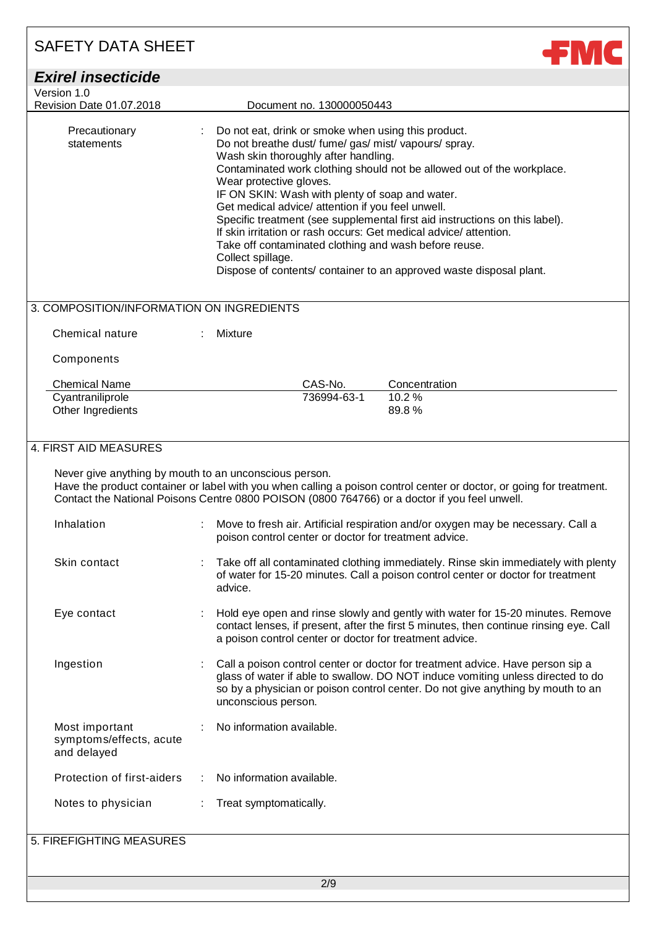| <b>SAFETY DATA SHEET</b>                                 |                                                                                                                                                                                                                                                                                                                                                                                                                                                                                                                                                                                                                                                                                                        |
|----------------------------------------------------------|--------------------------------------------------------------------------------------------------------------------------------------------------------------------------------------------------------------------------------------------------------------------------------------------------------------------------------------------------------------------------------------------------------------------------------------------------------------------------------------------------------------------------------------------------------------------------------------------------------------------------------------------------------------------------------------------------------|
| <b>Exirel insecticide</b>                                |                                                                                                                                                                                                                                                                                                                                                                                                                                                                                                                                                                                                                                                                                                        |
| Version 1.0                                              |                                                                                                                                                                                                                                                                                                                                                                                                                                                                                                                                                                                                                                                                                                        |
| Revision Date 01.07.2018<br>Precautionary<br>statements  | Document no. 130000050443<br>Do not eat, drink or smoke when using this product.<br>Do not breathe dust/ fume/ gas/ mist/ vapours/ spray.<br>Wash skin thoroughly after handling.<br>Contaminated work clothing should not be allowed out of the workplace.<br>Wear protective gloves.<br>IF ON SKIN: Wash with plenty of soap and water.<br>Get medical advice/ attention if you feel unwell.<br>Specific treatment (see supplemental first aid instructions on this label).<br>If skin irritation or rash occurs: Get medical advice/attention.<br>Take off contaminated clothing and wash before reuse.<br>Collect spillage.<br>Dispose of contents/ container to an approved waste disposal plant. |
| 3. COMPOSITION/INFORMATION ON INGREDIENTS                |                                                                                                                                                                                                                                                                                                                                                                                                                                                                                                                                                                                                                                                                                                        |
| Chemical nature                                          | <b>Mixture</b>                                                                                                                                                                                                                                                                                                                                                                                                                                                                                                                                                                                                                                                                                         |
| Components                                               |                                                                                                                                                                                                                                                                                                                                                                                                                                                                                                                                                                                                                                                                                                        |
| <b>Chemical Name</b>                                     | CAS-No.<br>Concentration                                                                                                                                                                                                                                                                                                                                                                                                                                                                                                                                                                                                                                                                               |
| Cyantraniliprole<br>Other Ingredients                    | 736994-63-1<br>10.2%<br>89.8%                                                                                                                                                                                                                                                                                                                                                                                                                                                                                                                                                                                                                                                                          |
|                                                          |                                                                                                                                                                                                                                                                                                                                                                                                                                                                                                                                                                                                                                                                                                        |
| 4. FIRST AID MEASURES                                    | Never give anything by mouth to an unconscious person.<br>Have the product container or label with you when calling a poison control center or doctor, or going for treatment.<br>Contact the National Poisons Centre 0800 POISON (0800 764766) or a doctor if you feel unwell.                                                                                                                                                                                                                                                                                                                                                                                                                        |
| Inhalation                                               | : Move to fresh air. Artificial respiration and/or oxygen may be necessary. Call a<br>poison control center or doctor for treatment advice.                                                                                                                                                                                                                                                                                                                                                                                                                                                                                                                                                            |
| Skin contact                                             | Take off all contaminated clothing immediately. Rinse skin immediately with plenty<br>of water for 15-20 minutes. Call a poison control center or doctor for treatment<br>advice.                                                                                                                                                                                                                                                                                                                                                                                                                                                                                                                      |
| Eye contact                                              | Hold eye open and rinse slowly and gently with water for 15-20 minutes. Remove<br>contact lenses, if present, after the first 5 minutes, then continue rinsing eye. Call<br>a poison control center or doctor for treatment advice.                                                                                                                                                                                                                                                                                                                                                                                                                                                                    |
| Ingestion                                                | Call a poison control center or doctor for treatment advice. Have person sip a<br>glass of water if able to swallow. DO NOT induce vomiting unless directed to do<br>so by a physician or poison control center. Do not give anything by mouth to an<br>unconscious person.                                                                                                                                                                                                                                                                                                                                                                                                                            |
| Most important<br>symptoms/effects, acute<br>and delayed | No information available.                                                                                                                                                                                                                                                                                                                                                                                                                                                                                                                                                                                                                                                                              |
| Protection of first-aiders                               | No information available.                                                                                                                                                                                                                                                                                                                                                                                                                                                                                                                                                                                                                                                                              |
| Notes to physician                                       | Treat symptomatically.                                                                                                                                                                                                                                                                                                                                                                                                                                                                                                                                                                                                                                                                                 |
| 5. FIREFIGHTING MEASURES                                 |                                                                                                                                                                                                                                                                                                                                                                                                                                                                                                                                                                                                                                                                                                        |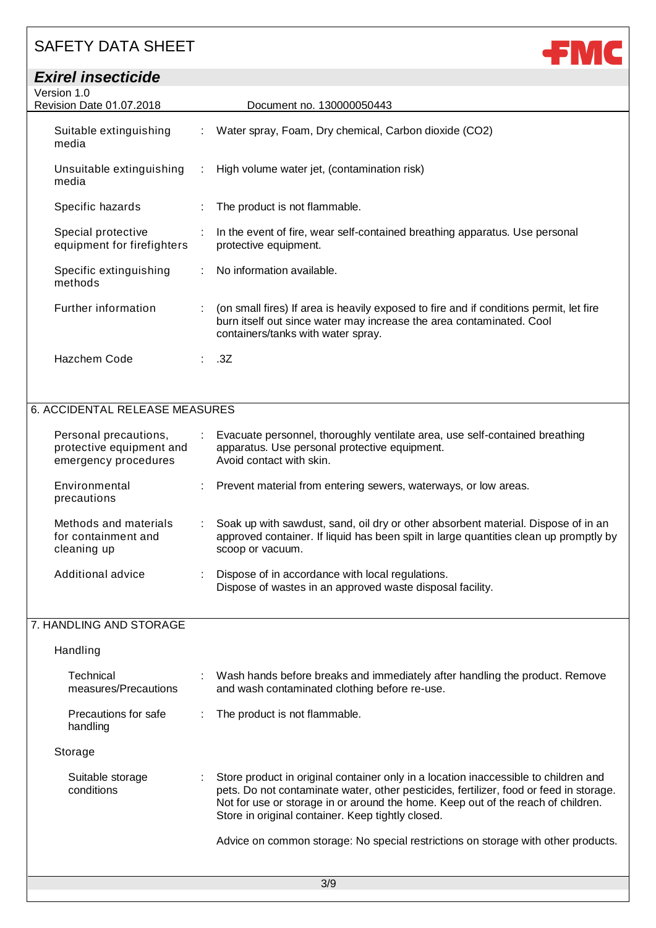| <b>Exirel insecticide</b> |  |
|---------------------------|--|
|                           |  |

| LAII GI IIIJGUUUIUG                              |                                                         |                                                                                                                                                                                                      |
|--------------------------------------------------|---------------------------------------------------------|------------------------------------------------------------------------------------------------------------------------------------------------------------------------------------------------------|
| Version 1.0<br>Revision Date 01.07.2018          |                                                         | Document no. 130000050443                                                                                                                                                                            |
| Suitable extinguishing<br>media                  | : Water spray, Foam, Dry chemical, Carbon dioxide (CO2) |                                                                                                                                                                                                      |
| Unsuitable extinguishing<br>media                | $\mathcal{L}$                                           | High volume water jet, (contamination risk)                                                                                                                                                          |
| Specific hazards                                 |                                                         | The product is not flammable.                                                                                                                                                                        |
| Special protective<br>equipment for firefighters |                                                         | In the event of fire, wear self-contained breathing apparatus. Use personal<br>protective equipment.                                                                                                 |
| Specific extinguishing<br>methods                |                                                         | No information available.                                                                                                                                                                            |
| Further information                              | ÷                                                       | (on small fires) If area is heavily exposed to fire and if conditions permit, let fire<br>burn itself out since water may increase the area contaminated. Cool<br>containers/tanks with water spray. |
| Hazchem Code                                     |                                                         | : .3Z                                                                                                                                                                                                |

**FMC** 

#### 6. ACCIDENTAL RELEASE MEASURES

| Personal precautions,<br>protective equipment and<br>emergency procedures | Evacuate personnel, thoroughly ventilate area, use self-contained breathing<br>apparatus. Use personal protective equipment.<br>Avoid contact with skin.                                       |
|---------------------------------------------------------------------------|------------------------------------------------------------------------------------------------------------------------------------------------------------------------------------------------|
| Environmental<br>precautions                                              | : Prevent material from entering sewers, waterways, or low areas.                                                                                                                              |
| Methods and materials<br>for containment and<br>cleaning up               | Soak up with sawdust, sand, oil dry or other absorbent material. Dispose of in an<br>approved container. If liquid has been spilt in large quantities clean up promptly by<br>scoop or vacuum. |
| Additional advice                                                         | Dispose of in accordance with local regulations.<br>Dispose of wastes in an approved waste disposal facility.                                                                                  |

#### 7. HANDLING AND STORAGE

| Handling                          |  |                                                                                                                                                                                                                                                                                                                                                                                                             |  |  |  |
|-----------------------------------|--|-------------------------------------------------------------------------------------------------------------------------------------------------------------------------------------------------------------------------------------------------------------------------------------------------------------------------------------------------------------------------------------------------------------|--|--|--|
| Technical<br>measures/Precautions |  | : Wash hands before breaks and immediately after handling the product. Remove<br>and wash contaminated clothing before re-use.                                                                                                                                                                                                                                                                              |  |  |  |
| Precautions for safe<br>handling  |  | The product is not flammable.                                                                                                                                                                                                                                                                                                                                                                               |  |  |  |
| Storage                           |  |                                                                                                                                                                                                                                                                                                                                                                                                             |  |  |  |
| Suitable storage<br>conditions    |  | Store product in original container only in a location inaccessible to children and<br>pets. Do not contaminate water, other pesticides, fertilizer, food or feed in storage.<br>Not for use or storage in or around the home. Keep out of the reach of children.<br>Store in original container. Keep tightly closed.<br>Advice on common storage: No special restrictions on storage with other products. |  |  |  |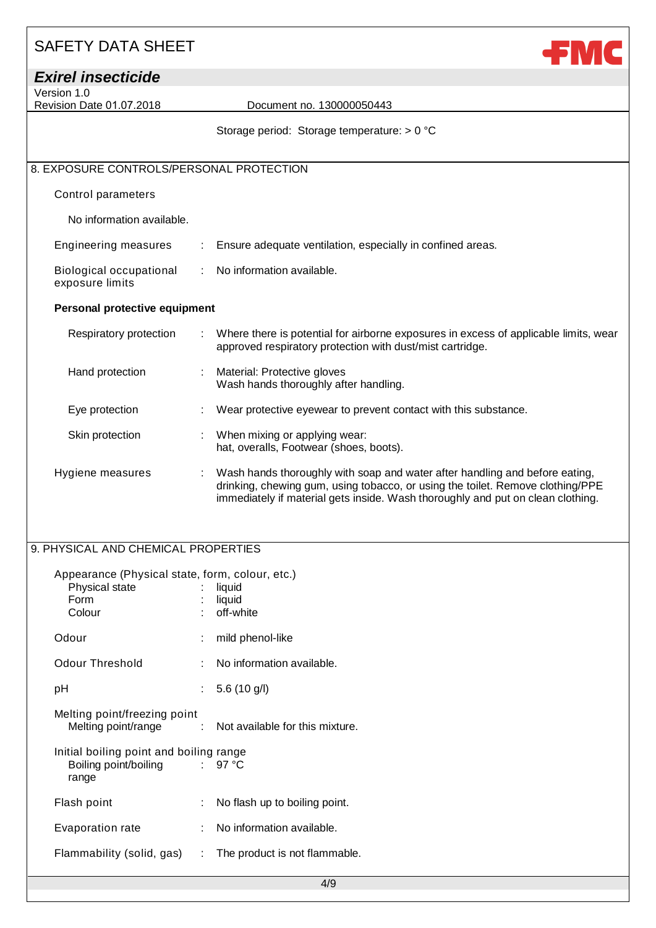# *Exirel insecticide*

Version 1.0

Revision Date 01.07.2018 Document no. 130000050443

Storage period: Storage temperature: > 0 °C

**FMC** 

#### 8. EXPOSURE CONTROLS/PERSONAL PROTECTION

#### Control parameters

No information available.

Engineering measures : Ensure adequate ventilation, especially in confined areas. Biological occupational : No information available.

exposure limits

#### **Personal protective equipment**

| Respiratory protection | Where there is potential for airborne exposures in excess of applicable limits, wear<br>approved respiratory protection with dust/mist cartridge.                                                                                                |
|------------------------|--------------------------------------------------------------------------------------------------------------------------------------------------------------------------------------------------------------------------------------------------|
| Hand protection        | : Material: Protective gloves<br>Wash hands thoroughly after handling.                                                                                                                                                                           |
| Eye protection         | Wear protective eyewear to prevent contact with this substance.                                                                                                                                                                                  |
| Skin protection        | When mixing or applying wear:<br>hat, overalls, Footwear (shoes, boots).                                                                                                                                                                         |
| Hygiene measures       | Wash hands thoroughly with soap and water after handling and before eating,<br>drinking, chewing gum, using tobacco, or using the toilet. Remove clothing/PPE<br>immediately if material gets inside. Wash thoroughly and put on clean clothing. |

#### 9. PHYSICAL AND CHEMICAL PROPERTIES

| Appearance (Physical state, form, colour, etc.)<br>Physical state<br>Form<br>Colour | $\mathbb{R}^{\mathbb{Z}}$ | liquid<br>liquid<br>: off-white                       |
|-------------------------------------------------------------------------------------|---------------------------|-------------------------------------------------------|
| Odour                                                                               |                           | : mild phenol-like                                    |
| <b>Odour Threshold</b>                                                              |                           | : No information available.                           |
| рH                                                                                  |                           | $: 5.6(10 \text{ g/l})$                               |
| Melting point/freezing point                                                        |                           | Melting point/range : Not available for this mixture. |
| Initial boiling point and boiling range<br>Boiling point/boiling : 97 °C<br>range   |                           |                                                       |
| Flash point                                                                         | ÷.                        | No flash up to boiling point.                         |
| Evaporation rate                                                                    |                           | : No information available.                           |
| Flammability (solid, gas) :                                                         |                           | The product is not flammable.                         |
|                                                                                     |                           |                                                       |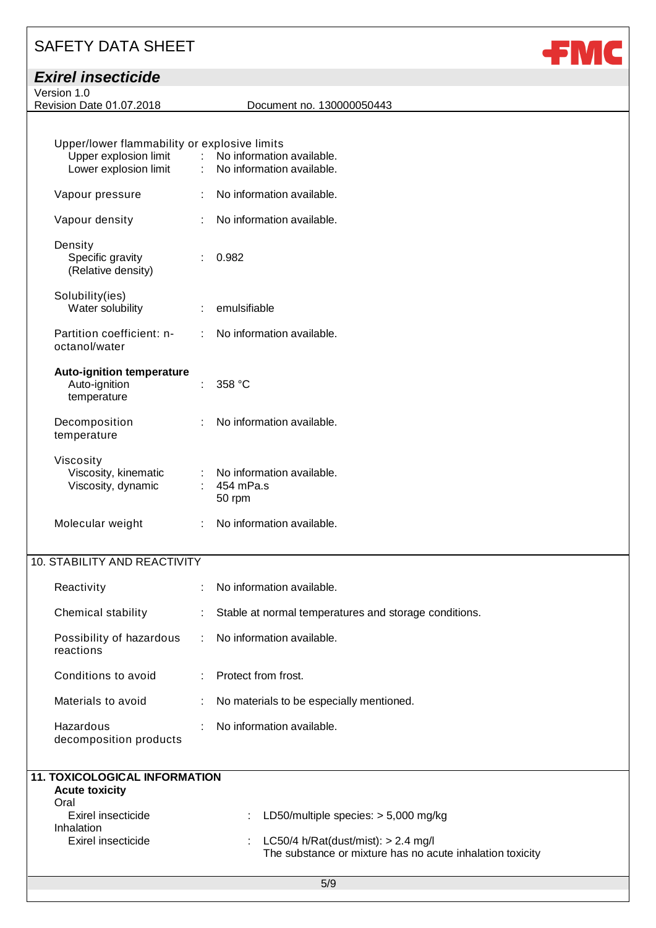# *Exirel insecticide*

Version 1.0

Revision Date 01.07.2018 Document no. 130000050443

**FMC** 

| Upper/lower flammability or explosive limits<br>Upper explosion limit<br>Lower explosion limit | $\mathbb{R}^{\mathbb{Z}}$ | : No information available.<br>No information available. |
|------------------------------------------------------------------------------------------------|---------------------------|----------------------------------------------------------|
| Vapour pressure                                                                                | ÷                         | No information available.                                |
| Vapour density                                                                                 |                           | No information available.                                |
| Density<br>Specific gravity<br>(Relative density)                                              |                           | 0.982                                                    |
| Solubility(ies)<br>Water solubility                                                            |                           | emulsifiable                                             |
| Partition coefficient: n-<br>octanol/water                                                     | ÷                         | No information available.                                |
| <b>Auto-ignition temperature</b><br>Auto-ignition<br>temperature                               |                           | 358 °C                                                   |
| Decomposition<br>temperature                                                                   |                           | No information available.                                |
| Viscosity<br>Viscosity, kinematic<br>Viscosity, dynamic                                        |                           | No information available.<br>454 mPa.s<br>50 rpm         |
| Molecular weight                                                                               |                           | No information available.                                |

#### 10. STABILITY AND REACTIVITY

| Reactivity                            | No information available.                             |  |
|---------------------------------------|-------------------------------------------------------|--|
| Chemical stability                    | Stable at normal temperatures and storage conditions. |  |
| Possibility of hazardous<br>reactions | $\therefore$ No information available.                |  |
| Conditions to avoid                   | $:$ Protect from frost.                               |  |
| Materials to avoid                    | No materials to be especially mentioned.<br>÷         |  |
| Hazardous<br>decomposition products   | No information available.                             |  |

| 11. TOXICOLOGICAL INFORMATION<br><b>Acute toxicity</b> |                                                                                                      |
|--------------------------------------------------------|------------------------------------------------------------------------------------------------------|
| Oral                                                   |                                                                                                      |
| Exirel insecticide                                     | LD50/multiple species: $>$ 5,000 mg/kg                                                               |
| Inhalation                                             |                                                                                                      |
| Exirel insecticide                                     | : LC50/4 h/Rat(dust/mist): $> 2.4$ mg/l<br>The substance or mixture has no acute inhalation toxicity |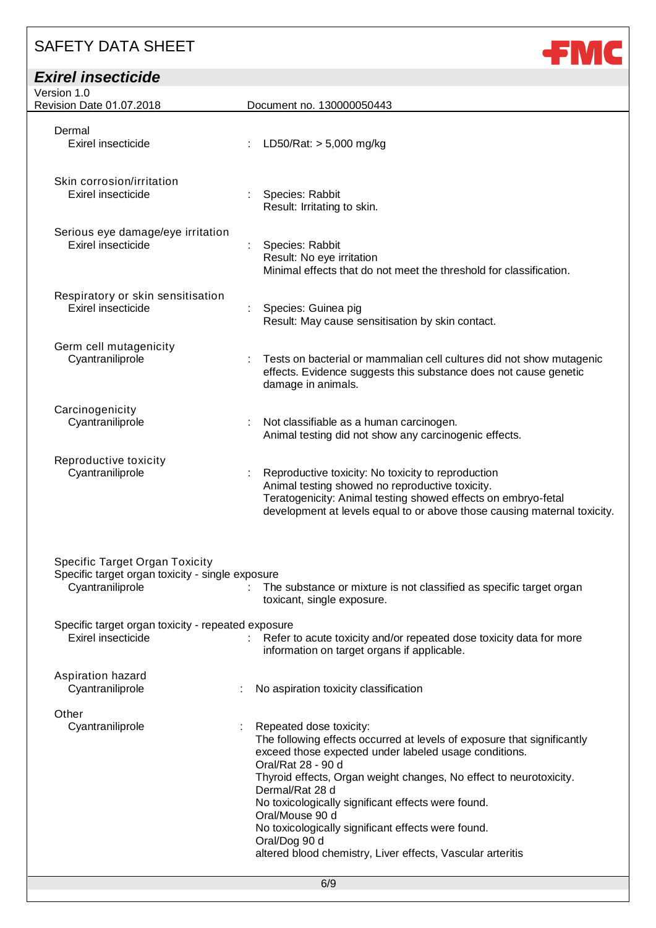| SAFETY DATA SHEET                                                                                             |                                                                                                                                                                                                                                                                                                                                                                                                                                                                                          |
|---------------------------------------------------------------------------------------------------------------|------------------------------------------------------------------------------------------------------------------------------------------------------------------------------------------------------------------------------------------------------------------------------------------------------------------------------------------------------------------------------------------------------------------------------------------------------------------------------------------|
| <b>Exirel insecticide</b>                                                                                     |                                                                                                                                                                                                                                                                                                                                                                                                                                                                                          |
| Version 1.0<br>Revision Date 01.07.2018                                                                       | Document no. 130000050443                                                                                                                                                                                                                                                                                                                                                                                                                                                                |
| Dermal<br>Exirel insecticide                                                                                  | LD50/Rat: > 5,000 mg/kg                                                                                                                                                                                                                                                                                                                                                                                                                                                                  |
| Skin corrosion/irritation<br>Exirel insecticide                                                               | Species: Rabbit<br>Result: Irritating to skin.                                                                                                                                                                                                                                                                                                                                                                                                                                           |
| Serious eye damage/eye irritation<br>Exirel insecticide                                                       | Species: Rabbit<br>Result: No eye irritation<br>Minimal effects that do not meet the threshold for classification.                                                                                                                                                                                                                                                                                                                                                                       |
| Respiratory or skin sensitisation<br>Exirel insecticide                                                       | Species: Guinea pig<br>Result: May cause sensitisation by skin contact.                                                                                                                                                                                                                                                                                                                                                                                                                  |
| Germ cell mutagenicity<br>Cyantraniliprole                                                                    | Tests on bacterial or mammalian cell cultures did not show mutagenic<br>effects. Evidence suggests this substance does not cause genetic<br>damage in animals.                                                                                                                                                                                                                                                                                                                           |
| Carcinogenicity<br>Cyantraniliprole                                                                           | Not classifiable as a human carcinogen.<br>Animal testing did not show any carcinogenic effects.                                                                                                                                                                                                                                                                                                                                                                                         |
| Reproductive toxicity<br>Cyantraniliprole                                                                     | Reproductive toxicity: No toxicity to reproduction<br>Animal testing showed no reproductive toxicity.<br>Teratogenicity: Animal testing showed effects on embryo-fetal<br>development at levels equal to or above those causing maternal toxicity.                                                                                                                                                                                                                                       |
| <b>Specific Target Organ Toxicity</b><br>Specific target organ toxicity - single exposure<br>Cyantraniliprole | ÷<br>The substance or mixture is not classified as specific target organ                                                                                                                                                                                                                                                                                                                                                                                                                 |
|                                                                                                               | toxicant, single exposure.                                                                                                                                                                                                                                                                                                                                                                                                                                                               |
| Specific target organ toxicity - repeated exposure<br>Exirel insecticide                                      | Refer to acute toxicity and/or repeated dose toxicity data for more<br>÷.<br>information on target organs if applicable.                                                                                                                                                                                                                                                                                                                                                                 |
| Aspiration hazard<br>Cyantraniliprole                                                                         | No aspiration toxicity classification                                                                                                                                                                                                                                                                                                                                                                                                                                                    |
| Other<br>Cyantraniliprole                                                                                     | Repeated dose toxicity:<br>The following effects occurred at levels of exposure that significantly<br>exceed those expected under labeled usage conditions.<br>Oral/Rat 28 - 90 d<br>Thyroid effects, Organ weight changes, No effect to neurotoxicity.<br>Dermal/Rat 28 d<br>No toxicologically significant effects were found.<br>Oral/Mouse 90 d<br>No toxicologically significant effects were found.<br>Oral/Dog 90 d<br>altered blood chemistry, Liver effects, Vascular arteritis |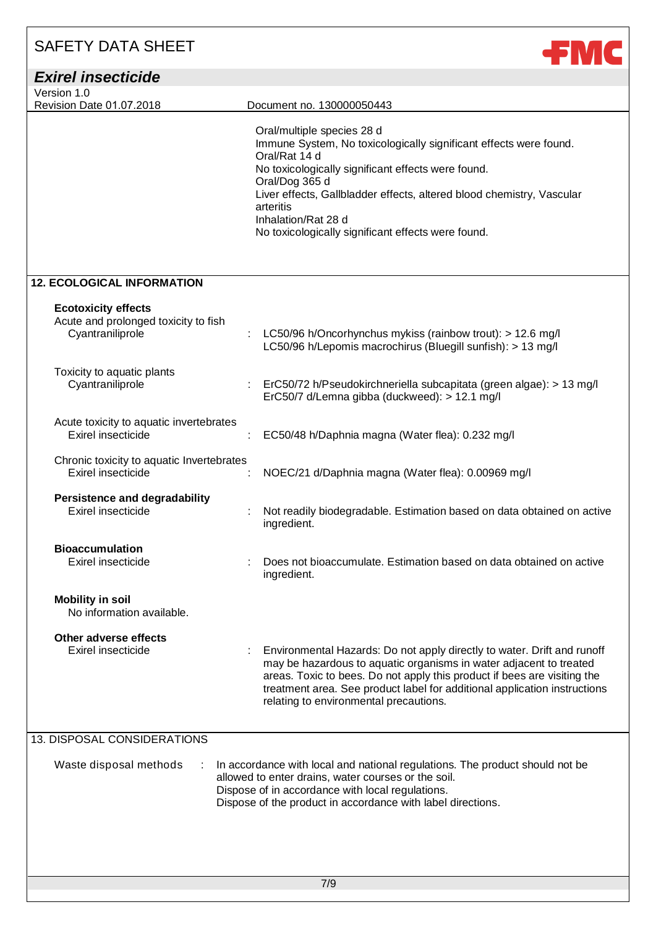| <b>SAFETY DATA SHEET</b>                                                               | <b>+МС</b>                                                                                                                                                                                                                                                                                                                                                                               |  |
|----------------------------------------------------------------------------------------|------------------------------------------------------------------------------------------------------------------------------------------------------------------------------------------------------------------------------------------------------------------------------------------------------------------------------------------------------------------------------------------|--|
| <b>Exirel insecticide</b>                                                              |                                                                                                                                                                                                                                                                                                                                                                                          |  |
| Version 1.0<br>Revision Date 01.07.2018                                                |                                                                                                                                                                                                                                                                                                                                                                                          |  |
|                                                                                        | Document no. 130000050443<br>Oral/multiple species 28 d<br>Immune System, No toxicologically significant effects were found.<br>Oral/Rat 14 d<br>No toxicologically significant effects were found.<br>Oral/Dog 365 d<br>Liver effects, Gallbladder effects, altered blood chemistry, Vascular<br>arteritis<br>Inhalation/Rat 28 d<br>No toxicologically significant effects were found. |  |
| <b>12. ECOLOGICAL INFORMATION</b>                                                      |                                                                                                                                                                                                                                                                                                                                                                                          |  |
| <b>Ecotoxicity effects</b><br>Acute and prolonged toxicity to fish<br>Cyantraniliprole | LC50/96 h/Oncorhynchus mykiss (rainbow trout): > 12.6 mg/l<br>LC50/96 h/Lepomis macrochirus (Bluegill sunfish): > 13 mg/l                                                                                                                                                                                                                                                                |  |
| Toxicity to aquatic plants<br>Cyantraniliprole                                         | ErC50/72 h/Pseudokirchneriella subcapitata (green algae): > 13 mg/l<br>÷<br>ErC50/7 d/Lemna gibba (duckweed): > 12.1 mg/l                                                                                                                                                                                                                                                                |  |
| Acute toxicity to aquatic invertebrates<br>Exirel insecticide                          | EC50/48 h/Daphnia magna (Water flea): 0.232 mg/l                                                                                                                                                                                                                                                                                                                                         |  |
| Chronic toxicity to aquatic Invertebrates<br>Exirel insecticide                        | NOEC/21 d/Daphnia magna (Water flea): 0.00969 mg/l                                                                                                                                                                                                                                                                                                                                       |  |
| <b>Persistence and degradability</b><br>Exirel insecticide                             | Not readily biodegradable. Estimation based on data obtained on active<br>ingredient.                                                                                                                                                                                                                                                                                                    |  |
| <b>Bioaccumulation</b><br>Exirel insecticide                                           | Does not bioaccumulate. Estimation based on data obtained on active<br>ingredient.                                                                                                                                                                                                                                                                                                       |  |
| <b>Mobility in soil</b><br>No information available.                                   |                                                                                                                                                                                                                                                                                                                                                                                          |  |
| Other adverse effects<br>Exirel insecticide                                            | Environmental Hazards: Do not apply directly to water. Drift and runoff<br>may be hazardous to aquatic organisms in water adjacent to treated<br>areas. Toxic to bees. Do not apply this product if bees are visiting the<br>treatment area. See product label for additional application instructions<br>relating to environmental precautions.                                         |  |
| 13. DISPOSAL CONSIDERATIONS                                                            |                                                                                                                                                                                                                                                                                                                                                                                          |  |
| Waste disposal methods                                                                 | In accordance with local and national regulations. The product should not be<br>allowed to enter drains, water courses or the soil.<br>Dispose of in accordance with local regulations.<br>Dispose of the product in accordance with label directions.                                                                                                                                   |  |
|                                                                                        | 7/9                                                                                                                                                                                                                                                                                                                                                                                      |  |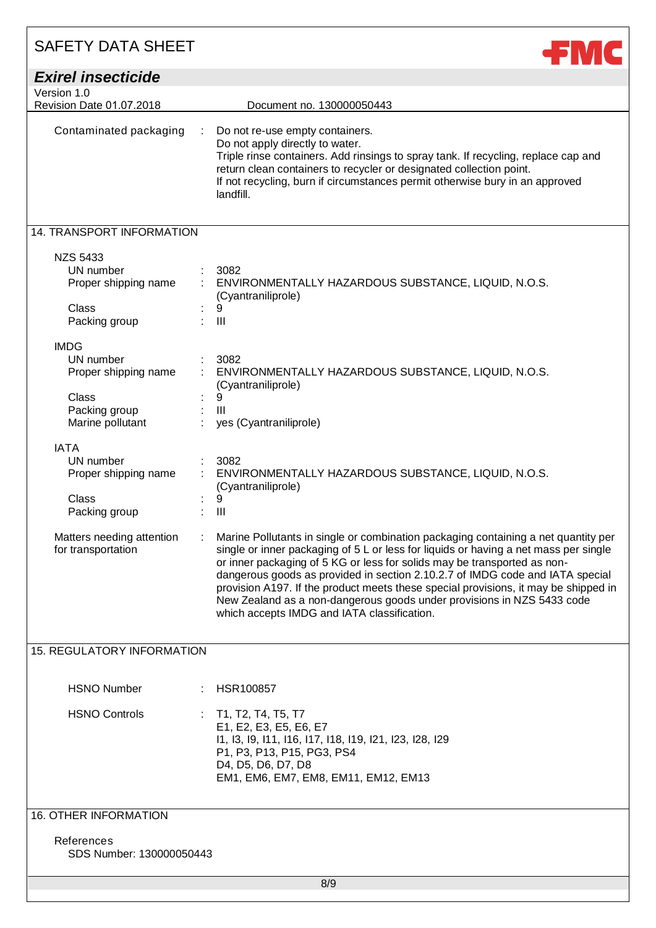| <b>SAFETY DATA SHEET</b>                                                                       |                                                                                                                                                                                                                                                                                                                                                                                                                                                                                                                                                         |  |  |
|------------------------------------------------------------------------------------------------|---------------------------------------------------------------------------------------------------------------------------------------------------------------------------------------------------------------------------------------------------------------------------------------------------------------------------------------------------------------------------------------------------------------------------------------------------------------------------------------------------------------------------------------------------------|--|--|
| <b>Exirel insecticide</b>                                                                      |                                                                                                                                                                                                                                                                                                                                                                                                                                                                                                                                                         |  |  |
| Version 1.0<br>Revision Date 01.07.2018                                                        | Document no. 130000050443                                                                                                                                                                                                                                                                                                                                                                                                                                                                                                                               |  |  |
| Contaminated packaging                                                                         | Do not re-use empty containers.<br>Do not apply directly to water.<br>Triple rinse containers. Add rinsings to spray tank. If recycling, replace cap and<br>return clean containers to recycler or designated collection point.<br>If not recycling, burn if circumstances permit otherwise bury in an approved<br>landfill.                                                                                                                                                                                                                            |  |  |
| 14. TRANSPORT INFORMATION                                                                      |                                                                                                                                                                                                                                                                                                                                                                                                                                                                                                                                                         |  |  |
| <b>NZS 5433</b><br>UN number<br>Proper shipping name<br>Class<br>Packing group                 | 3082<br>ENVIRONMENTALLY HAZARDOUS SUBSTANCE, LIQUID, N.O.S.<br>(Cyantraniliprole)<br>9<br>$\mathbf{III}$                                                                                                                                                                                                                                                                                                                                                                                                                                                |  |  |
| <b>IMDG</b><br>UN number<br>Proper shipping name<br>Class<br>Packing group<br>Marine pollutant | 3082<br>ENVIRONMENTALLY HAZARDOUS SUBSTANCE, LIQUID, N.O.S.<br>(Cyantraniliprole)<br>9<br>$\mathbf{III}$<br>yes (Cyantraniliprole)                                                                                                                                                                                                                                                                                                                                                                                                                      |  |  |
| <b>IATA</b><br>UN number<br>Proper shipping name<br>Class<br>Packing group                     | 3082<br>ENVIRONMENTALLY HAZARDOUS SUBSTANCE, LIQUID, N.O.S.<br>(Cyantraniliprole)<br>9<br>Ш                                                                                                                                                                                                                                                                                                                                                                                                                                                             |  |  |
| Matters needing attention<br>for transportation                                                | Marine Pollutants in single or combination packaging containing a net quantity per<br>single or inner packaging of 5 L or less for liquids or having a net mass per single<br>or inner packaging of 5 KG or less for solids may be transported as non-<br>dangerous goods as provided in section 2.10.2.7 of IMDG code and IATA special<br>provision A197. If the product meets these special provisions, it may be shipped in<br>New Zealand as a non-dangerous goods under provisions in NZS 5433 code<br>which accepts IMDG and IATA classification. |  |  |
| <b>15. REGULATORY INFORMATION</b>                                                              |                                                                                                                                                                                                                                                                                                                                                                                                                                                                                                                                                         |  |  |
| <b>HSNO Number</b>                                                                             | HSR100857                                                                                                                                                                                                                                                                                                                                                                                                                                                                                                                                               |  |  |
| <b>HSNO Controls</b>                                                                           | T1, T2, T4, T5, T7<br>E1, E2, E3, E5, E6, E7<br>11, 13, 19, 111, 116, 117, 118, 119, 121, 123, 128, 129<br>P1, P3, P13, P15, PG3, PS4<br>D4, D5, D6, D7, D8<br>EM1, EM6, EM7, EM8, EM11, EM12, EM13                                                                                                                                                                                                                                                                                                                                                     |  |  |
| <b>16. OTHER INFORMATION</b><br>References<br>SDS Number: 130000050443                         |                                                                                                                                                                                                                                                                                                                                                                                                                                                                                                                                                         |  |  |
|                                                                                                |                                                                                                                                                                                                                                                                                                                                                                                                                                                                                                                                                         |  |  |